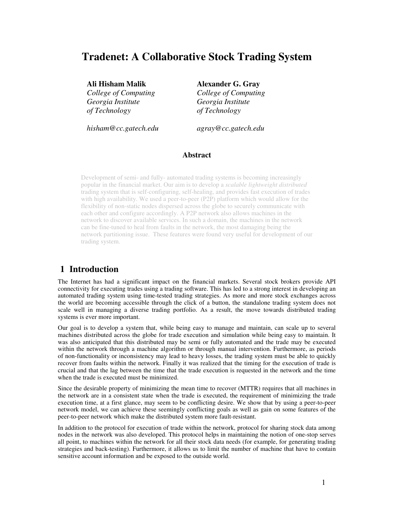# **Tradenet: A Collaborative Stock Trading System**

### **Ali Hisham Malik Alexander G. Gray**

 *College of Computing College of Computing Georgia Institute Georgia Institute of Technology of Technology* 

 *hisham@cc.gatech.edu agray@cc.gatech.edu* 

### **Abstract**

Development of semi- and fully- automated trading systems is becoming increasingly popular in the financial market. Our aim is to develop a *scalable lightweight distributed*  trading system that is self-configuring, self-healing, and provides fast execution of trades with high availability. We used a peer-to-peer (P2P) platform which would allow for the flexibility of non-static nodes dispersed across the globe to securely communicate with each other and configure accordingly. A P2P network also allows machines in the network to discover available services. In such a domain, the machines in the network can be fine-tuned to heal from faults in the network, the most damaging being the network partitioning issue. These features were found very useful for development of our trading system.

# **1 Introduction**

The Internet has had a significant impact on the financial markets. Several stock brokers provide API connectivity for executing trades using a trading software. This has led to a strong interest in developing an automated trading system using time-tested trading strategies. As more and more stock exchanges across the world are becoming accessible through the click of a button, the standalone trading system does not scale well in managing a diverse trading portfolio. As a result, the move towards distributed trading systems is ever more important.

Our goal is to develop a system that, while being easy to manage and maintain, can scale up to several machines distributed across the globe for trade execution and simulation while being easy to maintain. It was also anticipated that this distributed may be semi or fully automated and the trade may be executed within the network through a machine algorithm or through manual intervention. Furthermore, as periods of non-functionality or inconsistency may lead to heavy losses, the trading system must be able to quickly recover from faults within the network. Finally it was realized that the timing for the execution of trade is crucial and that the lag between the time that the trade execution is requested in the network and the time when the trade is executed must be minimized.

Since the desirable property of minimizing the mean time to recover (MTTR) requires that all machines in the network are in a consistent state when the trade is executed, the requirement of minimizing the trade execution time, at a first glance, may seem to be conflicting desire. We show that by using a peer-to-peer network model, we can achieve these seemingly conflicting goals as well as gain on some features of the peer-to-peer network which make the distributed system more fault-resistant.

In addition to the protocol for execution of trade within the network, protocol for sharing stock data among nodes in the network was also developed. This protocol helps in maintaining the notion of one-stop serves all point, to machines within the network for all their stock data needs (for example, for generating trading strategies and back-testing). Furthermore, it allows us to limit the number of machine that have to contain sensitive account information and be exposed to the outside world.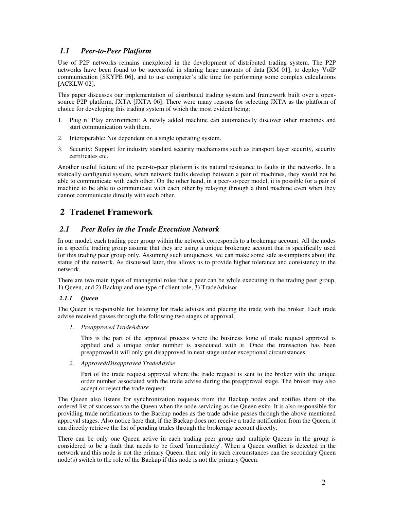### *1.1 Peer-to-Peer Platform*

Use of P2P networks remains unexplored in the development of distributed trading system. The P2P networks have been found to be successful in sharing large amounts of data [RM 01], to deploy VoIP communication [SKYPE 06], and to use computer's idle time for performing some complex calculations [ACKLW 02].

This paper discusses our implementation of distributed trading system and framework built over a opensource P2P platform, JXTA [JXTA 06]. There were many reasons for selecting JXTA as the platform of choice for developing this trading system of which the most evident being:

- 1. Plug n' Play environment: A newly added machine can automatically discover other machines and start communication with them.
- 2. Interoperable: Not dependent on a single operating system.
- 3. Security: Support for industry standard security mechanisms such as transport layer security, security certificates etc.

Another useful feature of the peer-to-peer platform is its natural resistance to faults in the networks. In a statically configured system, when network faults develop between a pair of machines, they would not be able to communicate with each other. On the other hand, in a peer-to-peer model, it is possible for a pair of machine to be able to communicate with each other by relaying through a third machine even when they cannot communicate directly with each other.

# **2 Tradenet Framework**

### *2.1 Peer Roles in the Trade Execution Network*

In our model, each trading peer group within the network corresponds to a brokerage account. All the nodes in a specific trading group assume that they are using a unique brokerage account that is specifically used for this trading peer group only. Assuming such uniqueness, we can make some safe assumptions about the status of the network. As discussed later, this allows us to provide higher tolerance and consistency in the network.

There are two main types of managerial roles that a peer can be while executing in the trading peer group, 1) Queen, and 2) Backup and one type of client role, 3) TradeAdvisor.

#### *2.1.1 Queen*

The Queen is responsible for listening for trade advises and placing the trade with the broker. Each trade advise received passes through the following two stages of approval,

*1. Preapproved TradeAdvise* 

 This is the part of the approval process where the business logic of trade request approval is applied and a unique order number is associated with it. Once the transaction has been preapproved it will only get disapproved in next stage under exceptional circumstances.

*2. Approved/Disapproved TradeAdvise* 

 Part of the trade request approval where the trade request is sent to the broker with the unique order number associated with the trade advise during the preapproval stage. The broker may also accept or reject the trade request.

The Queen also listens for synchronization requests from the Backup nodes and notifies them of the ordered list of successors to the Queen when the node servicing as the Queen exits. It is also responsible for providing trade notifications to the Backup nodes as the trade advise passes through the above mentioned approval stages. Also notice here that, if the Backup does not receive a trade notification from the Queen, it can directly retrieve the list of pending trades through the brokerage account directly.

There can be only one Queen active in each trading peer group and multiple Queens in the group is considered to be a fault that needs to be fixed 'immediately'. When a Queen conflict is detected in the network and this node is not the primary Queen, then only in such circumstances can the secondary Queen node(s) switch to the role of the Backup if this node is not the primary Queen.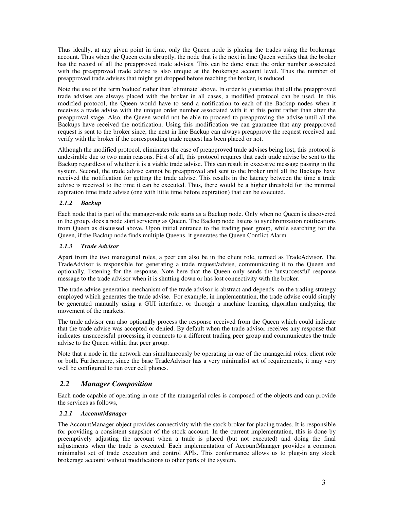Thus ideally, at any given point in time, only the Queen node is placing the trades using the brokerage account. Thus when the Queen exits abruptly, the node that is the next in line Queen verifies that the broker has the record of all the preapproved trade advises. This can be done since the order number associated with the preapproved trade advise is also unique at the brokerage account level. Thus the number of preapproved trade advises that might get dropped before reaching the broker, is reduced.

Note the use of the term 'reduce' rather than 'eliminate' above. In order to guarantee that all the preapproved trade advises are always placed with the broker in all cases, a modified protocol can be used. In this modified protocol, the Queen would have to send a notification to each of the Backup nodes when it receives a trade advise with the unique order number associated with it at this point rather than after the preapproval stage. Also, the Queen would not be able to proceed to preapproving the advise until all the Backups have received the notification. Using this modification we can guarantee that any preapproved request is sent to the broker since, the next in line Backup can always preapprove the request received and verify with the broker if the corresponding trade request has been placed or not.

Although the modified protocol, eliminates the case of preapproved trade advises being lost, this protocol is undesirable due to two main reasons. First of all, this protocol requires that each trade advise be sent to the Backup regardless of whether it is a viable trade advise. This can result in excessive message passing in the system. Second, the trade advise cannot be preapproved and sent to the broker until all the Backups have received the notification for getting the trade advise. This results in the latency between the time a trade advise is received to the time it can be executed. Thus, there would be a higher threshold for the minimal expiration time trade advise (one with little time before expiration) that can be executed.

### *2.1.2 Backup*

Each node that is part of the manager-side role starts as a Backup node. Only when no Queen is discovered in the group, does a node start servicing as Queen. The Backup node listens to synchronization notifications from Queen as discussed above. Upon initial entrance to the trading peer group, while searching for the Queen, if the Backup node finds multiple Queens, it generates the Queen Conflict Alarm.

### *2.1.3 Trade Advisor*

Apart from the two managerial roles, a peer can also be in the client role, termed as TradeAdvisor. The TradeAdvisor is responsible for generating a trade request/advise, communicating it to the Queen and optionally, listening for the response. Note here that the Queen only sends the 'unsuccessful' response message to the trade advisor when it is shutting down or has lost connectivity with the broker.

The trade advise generation mechanism of the trade advisor is abstract and depends on the trading strategy employed which generates the trade advise. For example, in implementation, the trade advise could simply be generated manually using a GUI interface, or through a machine learning algorithm analyzing the movement of the markets.

The trade advisor can also optionally process the response received from the Queen which could indicate that the trade advise was accepted or denied. By default when the trade advisor receives any response that indicates unsuccessful processing it connects to a different trading peer group and communicates the trade advise to the Queen within that peer group.

Note that a node in the network can simultaneously be operating in one of the managerial roles, client role or both. Furthermore, since the base TradeAdvisor has a very minimalist set of requirements, it may very well be configured to run over cell phones.

## *2.2 Manager Composition*

Each node capable of operating in one of the managerial roles is composed of the objects and can provide the services as follows,

### *2.2.1 AccountManager*

The AccountManager object provides connectivity with the stock broker for placing trades. It is responsible for providing a consistent snapshot of the stock account. In the current implementation, this is done by preemptively adjusting the account when a trade is placed (but not executed) and doing the final adjustments when the trade is executed. Each implementation of AccountManager provides a common minimalist set of trade execution and control APIs. This conformance allows us to plug-in any stock brokerage account without modifications to other parts of the system.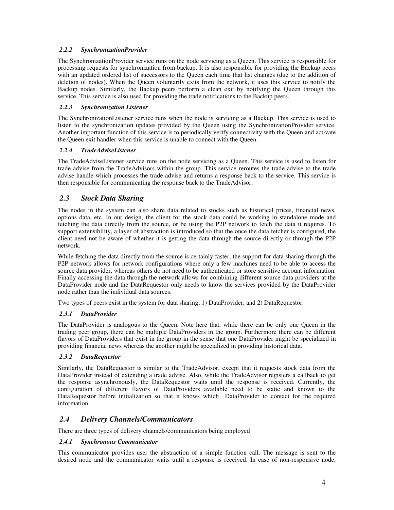### *2.2.2 SynchronizationProvider*

The SynchronizationProvider service runs on the node servicing as a Queen. This service is responsible for processing requests for synchronization from backup. It is also responsible for providing the Backup peers with an updated ordered list of successors to the Queen each time that list changes (due to the addition of deletion of nodes). When the Queen voluntarily exits from the network, it uses this service to notify the Backup nodes. Similarly, the Backup peers perform a clean exit by notifying the Queen through this service. This service is also used for providing the trade notifications to the Backup peers.

### *2.2.3 Synchronization Listener*

The SynchronizationListener service runs when the node is servicing as a Backup. This service is used to listen to the synchronization updates provided by the Queen using the SynchronizationProvider service. Another important function of this service is to periodically verify connectivity with the Queen and activate the Queen exit handler when this service is unable to connect with the Queen.

### *2.2.4 TradeAdviseListener*

The TradeAdviseListener service runs on the node servicing as a Queen. This service is used to listen for trade advise from the TradeAdvisors within the group. This service reroutes the trade advise to the trade advise handle which processes the trade advise and returns a response back to the service. This service is then responsible for communicating the response back to the TradeAdvisor.

## *2.3 Stock Data Sharing*

The nodes in the system can also share data related to stocks such as historical prices, financial news, options data, etc. In our design, the client for the stock data could be working in standalone mode and fetching the data directly from the source, or be using the P2P network to fetch the data it requires. To support extensibility, a layer of abstraction is introduced so that the once the data fetcher is configured, the client need not be aware of whether it is getting the data through the source directly or through the P2P network.

While fetching the data directly from the source is certainly faster, the support for data sharing through the P2P network allows for network configurations where only a few machines need to be able to access the source data provider, whereas others do not need to be authenticated or store sensitive account information. Finally accessing the data through the network allows for combining different source data providers at the DataProvider node and the DataRequestor only needs to know the services provided by the DataProvider node rather than the individual data sources.

Two types of peers exist in the system for data sharing; 1) DataProvider, and 2) DataRequestor.

#### *2.3.1 DataProvider*

The DataProvider is analogous to the Queen. Note here that, while there can be only one Queen in the trading peer group, there can be multiple DataProviders in the group. Furthermore there can be different flavors of DataProviders that exist in the group in the sense that one DataProvider might be specialized in providing financial news whereas the another might be specialized in providing historical data.

#### *2.3.2 DataRequestor*

Similarly, the DataRequestor is similar to the TradeAdvisor, except that it requests stock data from the DataProvider instead of extending a trade advise. Also, while the TradeAdvisor registers a callback to get the response asynchronously, the DataRequestor waits until the response is received. Currently, the configuration of different flavors of DataProviders available need to be static and known to the DataRequestor before initialization so that it knows which DataProvider to contact for the required information.

### *2.4 Delivery Channels/Communicators*

There are three types of delivery channels/communicators being employed

#### *2.4.1 Synchronous Communicator*

This communicator provides user the abstraction of a simple function call. The message is sent to the desired node and the communicator waits until a response is received. In case of non-responsive node,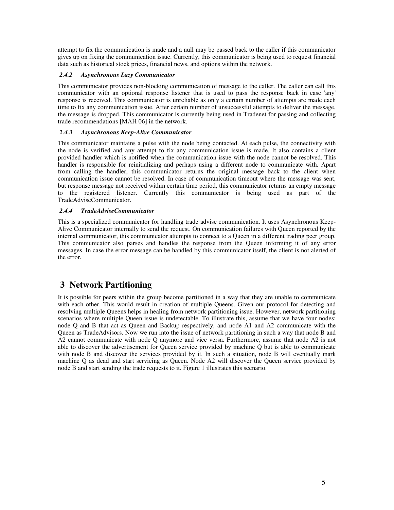attempt to fix the communication is made and a null may be passed back to the caller if this communicator gives up on fixing the communication issue. Currently, this communicator is being used to request financial data such as historical stock prices, financial news, and options within the network.

### *2.4.2 Asynchronous Lazy Communicator*

This communicator provides non-blocking communication of message to the caller. The caller can call this communicator with an optional response listener that is used to pass the response back in case 'any' response is received. This communicator is unreliable as only a certain number of attempts are made each time to fix any communication issue. After certain number of unsuccessful attempts to deliver the message, the message is dropped. This communicator is currently being used in Tradenet for passing and collecting trade recommendations [MAH 06] in the network.

#### *2.4.3 Asynchronous Keep-Alive Communicator*

This communicator maintains a pulse with the node being contacted. At each pulse, the connectivity with the node is verified and any attempt to fix any communication issue is made. It also contains a client provided handler which is notified when the communication issue with the node cannot be resolved. This handler is responsible for reinitializing and perhaps using a different node to communicate with. Apart from calling the handler, this communicator returns the original message back to the client when communication issue cannot be resolved. In case of communication timeout where the message was sent, but response message not received within certain time period, this communicator returns an empty message to the registered listener. Currently this communicator is being used as part of the TradeAdviseCommunicator.

#### *2.4.4 TradeAdviseCommunicator*

This is a specialized communicator for handling trade advise communication. It uses Asynchronous Keep-Alive Communicator internally to send the request. On communication failures with Queen reported by the internal communicator, this communicator attempts to connect to a Queen in a different trading peer group. This communicator also parses and handles the response from the Queen informing it of any error messages. In case the error message can be handled by this communicator itself, the client is not alerted of the error.

# **3 Network Partitioning**

It is possible for peers within the group become partitioned in a way that they are unable to communicate with each other. This would result in creation of multiple Queens. Given our protocol for detecting and resolving multiple Queens helps in healing from network partitioning issue. However, network partitioning scenarios where multiple Queen issue is undetectable. To illustrate this, assume that we have four nodes; node Q and B that act as Queen and Backup respectively, and node A1 and A2 communicate with the Queen as TradeAdvisors. Now we run into the issue of network partitioning in such a way that node B and A2 cannot communicate with node Q anymore and vice versa. Furthermore, assume that node A2 is not able to discover the advertisement for Queen service provided by machine Q but is able to communicate with node B and discover the services provided by it. In such a situation, node B will eventually mark machine Q as dead and start servicing as Queen. Node A2 will discover the Queen service provided by node B and start sending the trade requests to it. Figure 1 illustrates this scenario.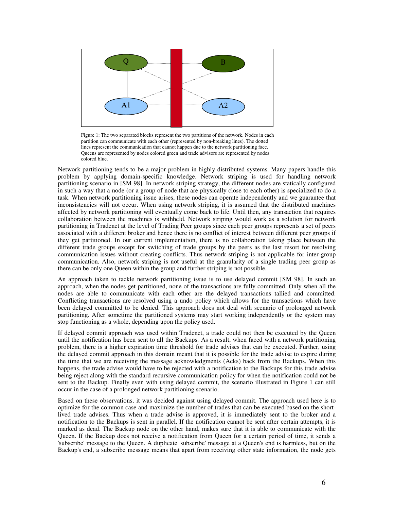

Figure 1: The two separated blocks represent the two partitions of the network. Nodes in each partition can communicate with each other (represented by non-breaking lines). The dotted lines represent the communication that cannot happen due to the network partitioning face. Queens are represented by nodes colored green and trade advisors are represented by nodes colored blue.

Network partitioning tends to be a major problem in highly distributed systems. Many papers handle this problem by applying domain-specific knowledge. Network striping is used for handling network partitioning scenario in [SM 98]. In network striping strategy, the different nodes are statically configured in such a way that a node (or a group of node that are physically close to each other) is specialized to do a task. When network partitioning issue arises, these nodes can operate independently and we guarantee that inconsistencies will not occur. When using network striping, it is assumed that the distributed machines affected by network partitioning will eventually come back to life. Until then, any transaction that requires collaboration between the machines is withheld. Network striping would work as a solution for network partitioning in Tradenet at the level of Trading Peer groups since each peer groups represents a set of peers associated with a different broker and hence there is no conflict of interest between different peer groups if they get partitioned. In our current implementation, there is no collaboration taking place between the different trade groups except for switching of trade groups by the peers as the last resort for resolving communication issues without creating conflicts. Thus network striping is not applicable for inter-group communication. Also, network striping is not useful at the granularity of a single trading peer group as there can be only one Queen within the group and further striping is not possible.

An approach taken to tackle network partitioning issue is to use delayed commit [SM 98]. In such an approach, when the nodes get partitioned, none of the transactions are fully committed. Only when all the nodes are able to communicate with each other are the delayed transactions tallied and committed. Conflicting transactions are resolved using a undo policy which allows for the transactions which have been delayed committed to be denied. This approach does not deal with scenario of prolonged network partitioning. After sometime the partitioned systems may start working independently or the system may stop functioning as a whole, depending upon the policy used.

If delayed commit approach was used within Tradenet, a trade could not then be executed by the Queen until the notification has been sent to all the Backups. As a result, when faced with a network partitioning problem, there is a higher expiration time threshold for trade advises that can be executed. Further, using the delayed commit approach in this domain meant that it is possible for the trade advise to expire during the time that we are receiving the message acknowledgments (Acks) back from the Backups. When this happens, the trade advise would have to be rejected with a notification to the Backups for this trade advise being reject along with the standard recursive communication policy for when the notification could not be sent to the Backup. Finally even with using delayed commit, the scenario illustrated in Figure 1 can still occur in the case of a prolonged network partitioning scenario.

Based on these observations, it was decided against using delayed commit. The approach used here is to optimize for the common case and maximize the number of trades that can be executed based on the shortlived trade advises. Thus when a trade advise is approved, it is immediately sent to the broker and a notification to the Backups is sent in parallel. If the notification cannot be sent after certain attempts, it is marked as dead. The Backup node on the other hand, makes sure that it is able to communicate with the Queen. If the Backup does not receive a notification from Queen for a certain period of time, it sends a 'subscribe' message to the Queen. A duplicate 'subscribe' message at a Queen's end is harmless, but on the Backup's end, a subscribe message means that apart from receiving other state information, the node gets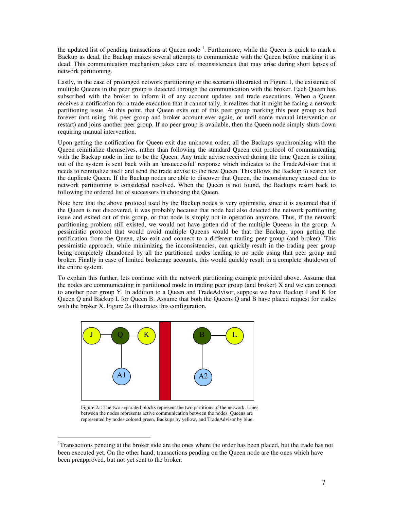the updated list of pending transactions at Queen node  $<sup>1</sup>$ . Furthermore, while the Queen is quick to mark a</sup> Backup as dead, the Backup makes several attempts to communicate with the Queen before marking it as dead. This communication mechanism takes care of inconsistencies that may arise during short lapses of network partitioning.

Lastly, in the case of prolonged network partitioning or the scenario illustrated in Figure 1, the existence of multiple Queens in the peer group is detected through the communication with the broker. Each Queen has subscribed with the broker to inform it of any account updates and trade executions. When a Queen receives a notification for a trade execution that it cannot tally, it realizes that it might be facing a network partitioning issue. At this point, that Queen exits out of this peer group marking this peer group as bad forever (not using this peer group and broker account ever again, or until some manual intervention or restart) and joins another peer group. If no peer group is available, then the Queen node simply shuts down requiring manual intervention.

Upon getting the notification for Queen exit due unknown order, all the Backups synchronizing with the Queen reinitialize themselves, rather than following the standard Queen exit protocol of communicating with the Backup node in line to be the Queen. Any trade advise received during the time Queen is exiting out of the system is sent back with an 'unsuccessful' response which indicates to the TradeAdvisor that it needs to reinitialize itself and send the trade advise to the new Queen. This allows the Backup to search for the duplicate Queen. If the Backup nodes are able to discover that Queen, the inconsistency caused due to network partitioning is considered resolved. When the Queen is not found, the Backups resort back to following the ordered list of successors in choosing the Queen.

Note here that the above protocol used by the Backup nodes is very optimistic, since it is assumed that if the Queen is not discovered, it was probably because that node had also detected the network partitioning issue and exited out of this group, or that node is simply not in operation anymore. Thus, if the network partitioning problem still existed, we would not have gotten rid of the multiple Queens in the group. A pessimistic protocol that would avoid multiple Queens would be that the Backup, upon getting the notification from the Queen, also exit and connect to a different trading peer group (and broker). This pessimistic approach, while minimizing the inconsistencies, can quickly result in the trading peer group being completely abandoned by all the partitioned nodes leading to no node using that peer group and broker. Finally in case of limited brokerage accounts, this would quickly result in a complete shutdown of the entire system.

To explain this further, lets continue with the network partitioning example provided above. Assume that the nodes are communicating in partitioned mode in trading peer group (and broker) X and we can connect to another peer group Y. In addition to a Queen and TradeAdvisor, suppose we have Backup J and K for Queen Q and Backup L for Queen B. Assume that both the Queens Q and B have placed request for trades with the broker X. Figure 2a illustrates this configuration.



Figure 2a: The two separated blocks represent the two partitions of the network. Lines between the nodes represents active communication between the nodes. Queens are represented by nodes colored green, Backups by yellow, and TradeAdvisor by blue.

 $\overline{a}$ <sup>1</sup>Transactions pending at the broker side are the ones where the order has been placed, but the trade has not been executed yet. On the other hand, transactions pending on the Queen node are the ones which have been preapproved, but not yet sent to the broker.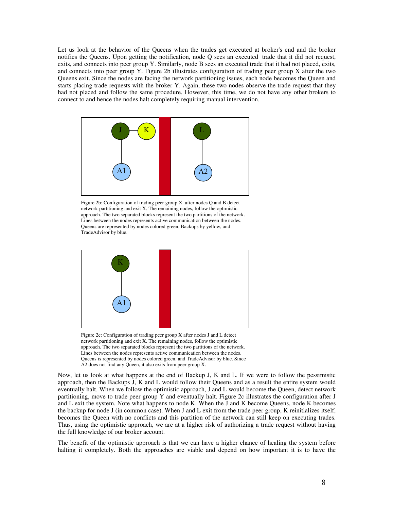Let us look at the behavior of the Queens when the trades get executed at broker's end and the broker notifies the Queens. Upon getting the notification, node Q sees an executed trade that it did not request, exits, and connects into peer group Y. Similarly, node B sees an executed trade that it had not placed, exits, and connects into peer group Y. Figure 2b illustrates configuration of trading peer group X after the two Queens exit. Since the nodes are facing the network partitioning issues, each node becomes the Queen and starts placing trade requests with the broker Y. Again, these two nodes observe the trade request that they had not placed and follow the same procedure. However, this time, we do not have any other brokers to connect to and hence the nodes halt completely requiring manual intervention.



Figure 2b: Configuration of trading peer group X after nodes Q and B detect network partitioning and exit X. The remaining nodes, follow the optimistic approach. The two separated blocks represent the two partitions of the network. Lines between the nodes represents active communication between the nodes. Queens are represented by nodes colored green, Backups by yellow, and TradeAdvisor by blue.



Figure 2c: Configuration of trading peer group X after nodes J and L detect network partitioning and exit X. The remaining nodes, follow the optimistic approach. The two separated blocks represent the two partitions of the network. Lines between the nodes represents active communication between the nodes. Queens is represented by nodes colored green, and TradeAdvisor by blue. Since A2 does not find any Queen, it also exits from peer group X.

Now, let us look at what happens at the end of Backup J, K and L. If we were to follow the pessimistic approach, then the Backups J, K and L would follow their Queens and as a result the entire system would eventually halt. When we follow the optimistic approach, J and L would become the Queen, detect network partitioning, move to trade peer group Y and eventually halt. Figure 2c illustrates the configuration after J and L exit the system. Note what happens to node K. When the J and K become Queens, node K becomes the backup for node J (in common case). When J and L exit from the trade peer group, K reinitializes itself, becomes the Queen with no conflicts and this partition of the network can still keep on executing trades. Thus, using the optimistic approach, we are at a higher risk of authorizing a trade request without having the full knowledge of our broker account.

The benefit of the optimistic approach is that we can have a higher chance of healing the system before halting it completely. Both the approaches are viable and depend on how important it is to have the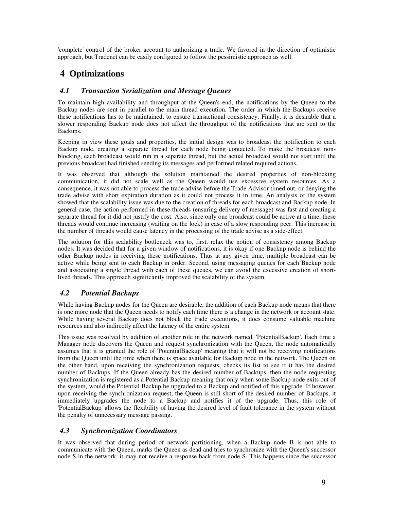'complete' control of the broker account to authorizing a trade. We favored in the direction of optimistic approach, but Tradenet can be easily configured to follow the pessimistic approach as well.

# **4 Optimizations**

## *4.1 Transaction Serialization and Message Queues*

To maintain high availability and throughput at the Queen's end, the notifications by the Queen to the Backup nodes are sent in parallel to the main thread execution. The order in which the Backups receive these notifications has to be maintained, to ensure transactional consistency. Finally, it is desirable that a slower responding Backup node does not affect the throughput of the notifications that are sent to the Backups.

Keeping in view these goals and properties, the initial design was to broadcast the notification to each Backup node, creating a separate thread for each node being contacted. To make the broadcast nonblocking, each broadcast would run in a separate thread, but the actual broadcast would not start until the previous broadcast had finished sending its messages and performed related required actions.

It was observed that although the solution maintained the desired properties of non-blocking communication, it did not scale well as the Queen would use excessive system resources. As a consequence, it was not able to process the trade advise before the Trade Advisor timed out, or denying the trade advise with short expiration duration as it could not process it in time. An analysis of the system showed that the scalability issue was due to the creation of threads for each broadcast and Backup node. In general case, the action performed in these threads (ensuring delivery of message) was fast and creating a separate thread for it did not justify the cost. Also, since only one broadcast could be active at a time, these threads would continue increasing (waiting on the lock) in case of a slow responding peer. This increase in the number of threads would cause latency in the processing of the trade advise as a side-effect.

The solution for this scalability bottleneck was to, first, relax the notion of consistency among Backup nodes. It was decided that for a given window of notifications, it is okay if one Backup node is behind the other Backup nodes in receiving these notifications. Thus at any given time, multiple broadcast can be active while being sent to each Backup in order. Second, using messaging queues for each Backup node and associating a single thread with each of these queues, we can avoid the excessive creation of shortlived threads. This approach significantly improved the scalability of the system.

## *4.2 Potential Backups*

While having Backup nodes for the Queen are desirable, the addition of each Backup node means that there is one more node that the Queen needs to notify each time there is a change in the network or account state. While having several Backup does not block the trade executions, it does consume valuable machine resources and also indirectly affect the latency of the entire system.

This issue was resolved by addition of another role in the network named, 'PotentialBackup'. Each time a Manager node discovers the Queen and request synchronization with the Queen, the node automatically assumes that it is granted the role of 'PotentialBackup' meaning that it will not be receiving notifications from the Queen until the time when there is space available for Backup node in the network. The Queen on the other hand, upon receiving the synchronization requests, checks its list to see if it has the desired number of Backups. If the Queen already has the desired number of Backups, then the node requesting synchronization is registered as a Potential Backup meaning that only when some Backup node exits out of the system, would the Potential Backup be upgraded to a Backup and notified of this upgrade. If however, upon receiving the synchronization request, the Queen is still short of the desired number of Backups, it immediately upgrades the node to a Backup and notifies it of the upgrade. Thus, this role of 'PotentialBackup' allows the flexibility of having the desired level of fault tolerance in the system without the penalty of unnecessary message passing.

## *4.3 Synchronization Coordinators*

It was observed that during period of network partitioning, when a Backup node B is not able to communicate with the Queen, marks the Queen as dead and tries to synchronize with the Queen's successor node S in the network, it may not receive a response back from node S. This happens since the successor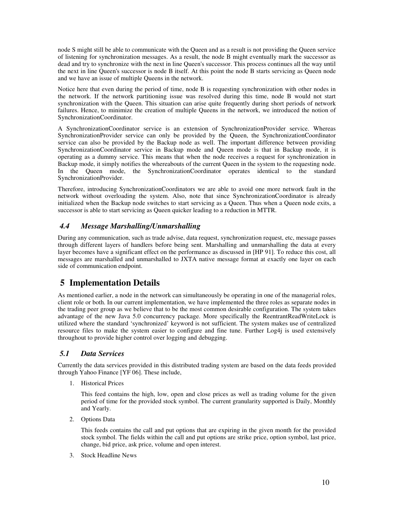node S might still be able to communicate with the Queen and as a result is not providing the Queen service of listening for synchronization messages. As a result, the node B might eventually mark the successor as dead and try to synchronize with the next in line Queen's successor. This process continues all the way until the next in line Queen's successor is node B itself. At this point the node B starts servicing as Queen node and we have an issue of multiple Queens in the network.

Notice here that even during the period of time, node B is requesting synchronization with other nodes in the network. If the network partitioning issue was resolved during this time, node B would not start synchronization with the Queen. This situation can arise quite frequently during short periods of network failures. Hence, to minimize the creation of multiple Queens in the network, we introduced the notion of SynchronizationCoordinator.

A SynchronizationCoordinator service is an extension of SynchronizationProvider service. Whereas SynchronizationProvider service can only be provided by the Queen, the SynchronizationCoordinator service can also be provided by the Backup node as well. The important difference between providing SynchronizationCoordinator service in Backup mode and Queen mode is that in Backup mode, it is operating as a dummy service. This means that when the node receives a request for synchronization in Backup mode, it simply notifies the whereabouts of the current Queen in the system to the requesting node. In the Queen mode, the SynchronizationCoordinator operates identical to the standard SynchronizationProvider.

Therefore, introducing SynchronizationCoordinators we are able to avoid one more network fault in the network without overloading the system. Also, note that since SynchronizationCoordinator is already initialized when the Backup node switches to start servicing as a Queen. Thus when a Queen node exits, a successor is able to start servicing as Queen quicker leading to a reduction in MTTR.

# *4.4 Message Marshalling/Unmarshalling*

During any communication, such as trade advise, data request, synchronization request, etc, message passes through different layers of handlers before being sent. Marshalling and unmarshalling the data at every layer becomes have a significant effect on the performance as discussed in [HP 91]. To reduce this cost, all messages are marshalled and unmarshalled to JXTA native message format at exactly one layer on each side of communication endpoint.

# **5 Implementation Details**

As mentioned earlier, a node in the network can simultaneously be operating in one of the managerial roles, client role or both. In our current implementation, we have implemented the three roles as separate nodes in the trading peer group as we believe that to be the most common desirable configuration. The system takes advantage of the new Java 5.0 concurrency package. More specifically the ReentrantReadWriteLock is utilized where the standard 'synchronized' keyword is not sufficient. The system makes use of centralized resource files to make the system easier to configure and fine tune. Further Log4j is used extensively throughout to provide higher control over logging and debugging.

## *5.1 Data Services*

Currently the data services provided in this distributed trading system are based on the data feeds provided through Yahoo Finance [YF 06]. These include,

1. Historical Prices

This feed contains the high, low, open and close prices as well as trading volume for the given period of time for the provided stock symbol. The current granularity supported is Daily, Monthly and Yearly.

2. Options Data

This feeds contains the call and put options that are expiring in the given month for the provided stock symbol. The fields within the call and put options are strike price, option symbol, last price, change, bid price, ask price, volume and open interest.

3. Stock Headline News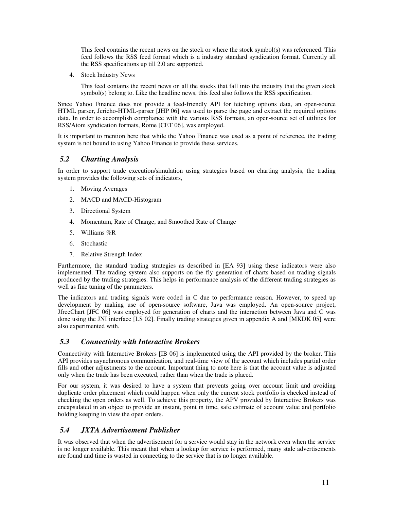This feed contains the recent news on the stock or where the stock symbol(s) was referenced. This feed follows the RSS feed format which is a industry standard syndication format. Currently all the RSS specifications up till 2.0 are supported.

4. Stock Industry News

This feed contains the recent news on all the stocks that fall into the industry that the given stock  $symbol(s)$  belong to. Like the headline news, this feed also follows the RSS specification.

Since Yahoo Finance does not provide a feed-friendly API for fetching options data, an open-source HTML parser, Jericho-HTML-parser [JHP 06] was used to parse the page and extract the required options data. In order to accomplish compliance with the various RSS formats, an open-source set of utilities for RSS/Atom syndication formats, Rome [CET 06], was employed.

It is important to mention here that while the Yahoo Finance was used as a point of reference, the trading system is not bound to using Yahoo Finance to provide these services.

### *5.2 Charting Analysis*

In order to support trade execution/simulation using strategies based on charting analysis, the trading system provides the following sets of indicators,

- 1. Moving Averages
- 2. MACD and MACD-Histogram
- 3. Directional System
- 4. Momentum, Rate of Change, and Smoothed Rate of Change
- 5. Williams %R
- 6. Stochastic
- 7. Relative Strength Index

Furthermore, the standard trading strategies as described in [EA 93] using these indicators were also implemented. The trading system also supports on the fly generation of charts based on trading signals produced by the trading strategies. This helps in performance analysis of the different trading strategies as well as fine tuning of the parameters.

The indicators and trading signals were coded in C due to performance reason. However, to speed up development by making use of open-source software, Java was employed. An open-source project, JfreeChart [JFC 06] was employed for generation of charts and the interaction between Java and C was done using the JNI interface [LS 02]. Finally trading strategies given in appendix A and [MKDK 05] were also experimented with.

#### *5.3 Connectivity with Interactive Brokers*

Connectivity with Interactive Brokers [IB 06] is implemented using the API provided by the broker. This API provides asynchronous communication, and real-time view of the account which includes partial order fills and other adjustments to the account. Important thing to note here is that the account value is adjusted only when the trade has been executed, rather than when the trade is placed.

For our system, it was desired to have a system that prevents going over account limit and avoiding duplicate order placement which could happen when only the current stock portfolio is checked instead of checking the open orders as well. To achieve this property, the APV provided by Interactive Brokers was encapsulated in an object to provide an instant, point in time, safe estimate of account value and portfolio holding keeping in view the open orders.

### *5.4 JXTA Advertisement Publisher*

It was observed that when the advertisement for a service would stay in the network even when the service is no longer available. This meant that when a lookup for service is performed, many stale advertisements are found and time is wasted in connecting to the service that is no longer available.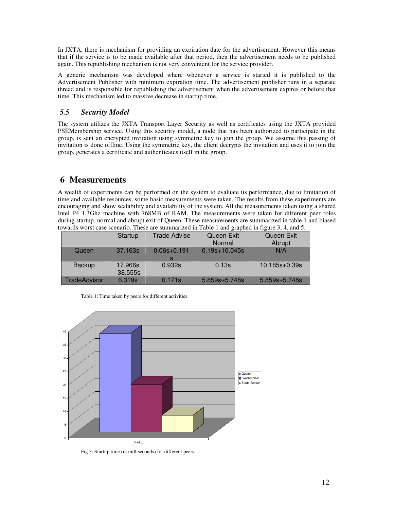In JXTA, there is mechanism for providing an expiration date for the advertisement. However this means that if the service is to be made available after that period, then the advertisement needs to be published again. This republishing mechanism is not very convenient for the service provider.

A generic mechanism was developed where whenever a service is started it is published to the Advertisement Publisher with minimum expiration time. The advertisement publisher runs in a separate thread and is responsible for republishing the advertisement when the advertisement expires or before that time. This mechanism led to massive decrease in startup time.

# *5.5 Security Model*

The system utilizes the JXTA Transport Layer Security as well as certificates using the JXTA provided PSEMembership service. Using this security model, a node that has been authorized to participate in the group, is sent an encrypted invitation using symmetric key to join the group. We assume this passing of invitation is done offline. Using the symmetric key, the client decrypts the invitation and uses it to join the group, generates a certificate and authenticates itself in the group.

# **6 Measurements**

A wealth of experiments can be performed on the system to evaluate its performance, due to limitation of time and available resources, some basic measurements were taken. The results from these experiments are encouraging and show scalability and availability of the system. All the measurements taken using a shared Intel P4 1.3Ghz machine with 768MB of RAM. The measurements were taken for different peer roles during startup, normal and abrupt exit of Queen. These measurements are summarized in table 1 and biased towards worst case scenario. These are summarized in Table 1 and graphed in figure 3, 4, and 5.

|               | Startup               | <b>Trade Advise</b> | Queen Exit<br>Normal | Queen Exit<br>Abrupt |
|---------------|-----------------------|---------------------|----------------------|----------------------|
| Queen         | 37.163s               | $0.06s + 0.191$     | $0.19s+10.045s$      | N/A                  |
| <b>Backup</b> | 17.966s<br>$-38.555s$ | 0.932s              | 0.13s                | $10.185s + 0.39s$    |
| TradeAdvisor  | 6.319s                | 0.171s              | $5.859s+5.748s$      | $5.859s + 5.748s$    |

Table 1: Time taken by peers for different activities.



Fig 3: Startup time (in milliseconds) for different peers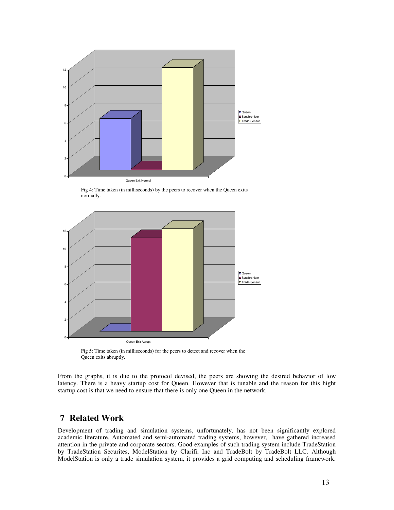

Fig 4: Time taken (in milliseconds) by the peers to recover when the Queen exits normally.



Fig 5: Time taken (in milliseconds) for the peers to detect and recover when the Queen exits abruptly.

From the graphs, it is due to the protocol devised, the peers are showing the desired behavior of low latency. There is a heavy startup cost for Queen. However that is tunable and the reason for this hight startup cost is that we need to ensure that there is only one Queen in the network.

# **7 Related Work**

Development of trading and simulation systems, unfortunately, has not been significantly explored academic literature. Automated and semi-automated trading systems, however, have gathered increased attention in the private and corporate sectors. Good examples of such trading system include TradeStation by TradeStation Securites, ModelStation by Clarifi, Inc and TradeBolt by TradeBolt LLC. Although ModelStation is only a trade simulation system, it provides a grid computing and scheduling framework.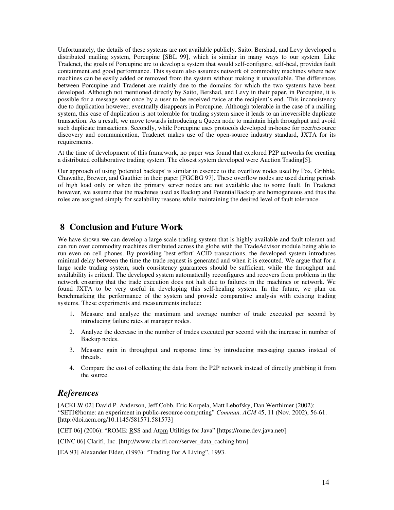Unfortunately, the details of these systems are not available publicly. Saito, Bershad, and Levy developed a distributed mailing system, Porcupine [SBL 99], which is similar in many ways to our system. Like Tradenet, the goals of Porcupine are to develop a system that would self-configure, self-heal, provides fault containment and good performance. This system also assumes network of commodity machines where new machines can be easily added or removed from the system without making it unavailable. The differences between Porcupine and Tradenet are mainly due to the domains for which the two systems have been developed. Although not mentioned directly by Saito, Bershad, and Levy in their paper, in Porcupine, it is possible for a message sent once by a user to be received twice at the recipient's end. This inconsistency due to duplication however, eventually disappears in Porcupine. Although tolerable in the case of a mailing system, this case of duplication is not tolerable for trading system since it leads to an irreversible duplicate transaction. As a result, we move towards introducing a Queen node to maintain high throughput and avoid such duplicate transactions. Secondly, while Porcupine uses protocols developed in-house for peer/resource discovery and communication, Tradenet makes use of the open-source industry standard, JXTA for its requirements.

At the time of development of this framework, no paper was found that explored P2P networks for creating a distributed collaborative trading system. The closest system developed were Auction Trading[5].

Our approach of using 'potential backups' is similar in essence to the overflow nodes used by Fox, Gribble, Chawathe, Brewer, and Gauthier in their paper [FGCBG 97]. These overflow nodes are used during periods of high load only or when the primary server nodes are not available due to some fault. In Tradenet however, we assume that the machines used as Backup and PotentialBackup are homogeneous and thus the roles are assigned simply for scalability reasons while maintaining the desired level of fault tolerance.

# **8 Conclusion and Future Work**

We have shown we can develop a large scale trading system that is highly available and fault tolerant and can run over commodity machines distributed across the globe with the TradeAdvisor module being able to run even on cell phones. By providing 'best effort' ACID transactions, the developed system introduces minimal delay between the time the trade request is generated and when it is executed. We argue that for a large scale trading system, such consistency guarantees should be sufficient, while the throughput and availability is critical. The developed system automatically reconfigures and recovers from problems in the network ensuring that the trade execution does not halt due to failures in the machines or network. We found JXTA to be very useful in developing this self-healing system. In the future, we plan on benchmarking the performance of the system and provide comparative analysis with existing trading systems. These experiments and measurements include:

- 1. Measure and analyze the maximum and average number of trade executed per second by introducing failure rates at manager nodes.
- 2. Analyze the decrease in the number of trades executed per second with the increase in number of Backup nodes.
- 3. Measure gain in throughput and response time by introducing messaging queues instead of threads.
- 4. Compare the cost of collecting the data from the P2P network instead of directly grabbing it from the source.

## *References*

[ACKLW 02] David P. Anderson, Jeff Cobb, Eric Korpela, Matt Lebofsky, Dan Werthimer (2002): "SETI@home: an experiment in public-resource computing" *Commun. ACM* 45, 11 (Nov. 2002), 56-61. [http://doi.acm.org/10.1145/581571.581573]

[CET 06] (2006): "ROME: RSS and Atom Utilities for Java" [https://rome.dev.java.net/]

[CINC 06] Clarifi, Inc. [http://www.clarifi.com/server\_data\_caching.htm]

[EA 93] Alexander Elder, (1993): "Trading For A Living", 1993.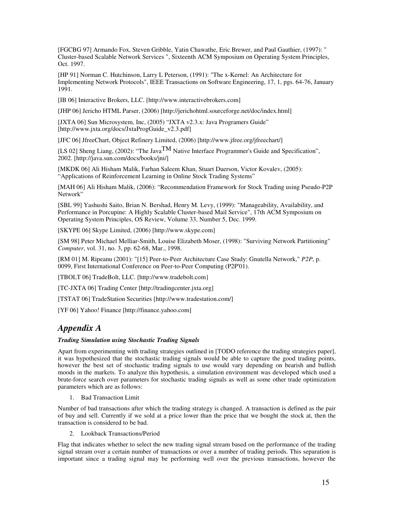[FGCBG 97] Armando Fox, Steven Gribble, Yatin Chawathe, Eric Brewer, and Paul Gauthier, (1997): " Cluster-based Scalable Network Services ", Sixteenth ACM Symposium on Operating System Principles, Oct. 1997.

[HP 91] Norman C. Hutchinson, Larry L Peterson, (1991): "The x-Kernel: An Architecture for Implementing Network Protocols", IEEE Transactions on Software Engineering, 17, 1, pgs. 64-76, January 1991.

[IB 06] Interactive Brokers, LLC. [http://www.interactivebrokers.com]

[JHP 06] Jericho HTML Parser, (2006) [http://jerichohtml.sourceforge.net/doc/index.html]

[JXTA 06] Sun Microsystem, Inc, (2005) "JXTA v2.3.x: Java Programers Guide" [http://www.jxta.org/docs/JxtaProgGuide\_v2.3.pdf]

[JFC 06] JfreeChart, Object Refinery Limited, (2006) [http://www.jfree.org/jfreechart/]

[LS 02] Sheng Liang, (2002): "The Java  $\overline{IM}$  Native Interface Programmer's Guide and Specification", 2002. [http://java.sun.com/docs/books/jni/]

[MKDK 06] Ali Hisham Malik, Farhan Saleem Khan, Stuart Duerson, Victor Kovalev, (2005): "Applications of Reinforcement Learning in Online Stock Trading Systems"

[MAH 06] Ali Hisham Malik, (2006): "Recommendation Framework for Stock Trading using Pseudo-P2P Network"

[SBL 99] Yashushi Saito, Brian N. Bershad, Henry M. Levy, (1999): "Manageability, Availability, and Performance in Porcupine: A Highly Scalable Cluster-based Mail Service", 17th ACM Symposium on Operating System Principles, OS Review, Volume 33, Number 5, Dec. 1999.

[SKYPE 06] Skype Limited, (2006) [http://www.skype.com]

[SM 98] Peter Michael Melliar-Smith, Louise Elizabeth Moser, (1998): "Surviving Network Partitioning" *Computer*, vol. 31, no. 3, pp. 62-68, Mar., 1998.

[RM 01] M. Ripeanu (2001): "[15] Peer-to-Peer Architecture Case Study: Gnutella Network," *P2P*, p. 0099, First International Conference on Peer-to-Peer Computing (P2P'01).

[TBOLT 06] TradeBolt, LLC. [http://www.tradebolt.com]

[TC-JXTA 06] Trading Center [http://tradingcenter.jxta.org]

[TSTAT 06] TradeStation Securities [http://www.tradestation.com/]

[YF 06] Yahoo! Finance [http://finance.yahoo.com]

# *Appendix A*

#### *Trading Simulation using Stochastic Trading Signals*

Apart from experimenting with trading strategies outlined in [TODO reference the trading strategies paper], it was hypothesized that the stochastic trading signals would be able to capture the good trading points, however the best set of stochastic trading signals to use would vary depending on bearish and bullish moods in the markets. To analyze this hypothesis, a simulation environment was developed which used a brute-force search over parameters for stochastic trading signals as well as some other trade optimization parameters which are as follows:

1. Bad Transaction Limit

Number of bad transactions after which the trading strategy is changed. A transaction is defined as the pair of buy and sell. Currently if we sold at a price lower than the price that we bought the stock at, then the transaction is considered to be bad.

2. Lookback Transactions/Period

Flag that indicates whether to select the new trading signal stream based on the performance of the trading signal stream over a certain number of transactions or over a number of trading periods. This separation is important since a trading signal may be performing well over the previous transactions, however the